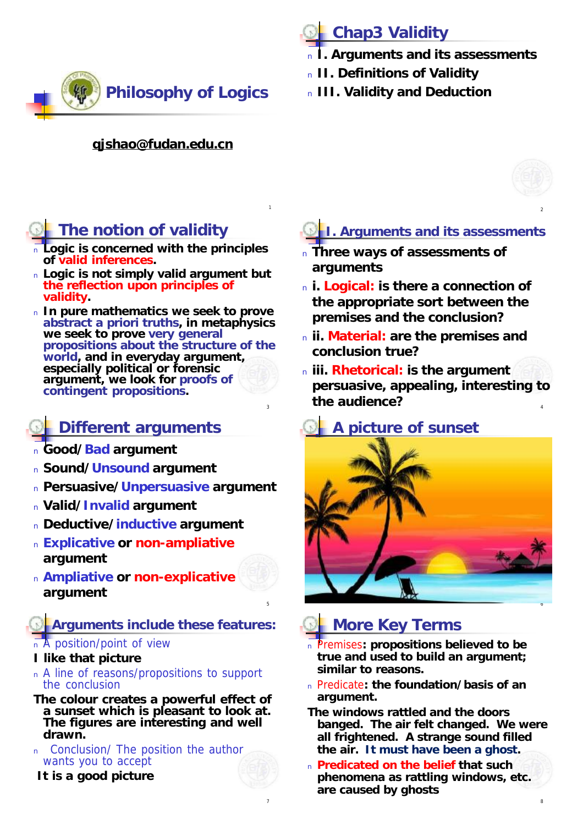

# **Chap3 Validity**

- <sup>n</sup> **I. Arguments and its assessments**
- <sup>n</sup> **II. Definitions of Validity**
- <sup>n</sup> **III. Validity and Deduction**

#### **[qjshao@fudan.edu.cn](mailto:qjshao@fudan.edu.cn)**

1

5

7

# **The notion of validity**

- <sup>n</sup> **Logic is concerned with the principles of valid inferences.**
- <sup>n</sup> **Logic is not simply valid argument but the reflection upon principles of validity.**
- <sup>n</sup> **In pure mathematics we seek to prove abstract a priori truths, in metaphysics we seek to prove very general propositions about the structure of the world, and in everyday argument, especially political or forensic argument, we look for proofs of contingent propositions.**

### **Different arguments**

- <sup>n</sup> **Good/Bad argument**
- <sup>n</sup> **Sound/Unsound argument**
- <sup>n</sup> **Persuasive/Unpersuasive argument**
- <sup>n</sup> **Valid/Invalid argument**
- <sup>n</sup> **Deductive/inductive argument**
- <sup>n</sup> **Explicative or non-ampliative argument**
- <sup>n</sup> **Ampliative or non-explicative argument**

**Arguments include these features:**

#### <sup>n</sup> A position/point of view

- *I like that picture*
- <sup>n</sup> A line of reasons/propositions to support the conclusion
- *The colour creates a powerful effect of a sunset which is pleasant to look at. The figures are interesting and well drawn.*
- <sup>n</sup> Conclusion/ The position the author wants you to accept

*It is a good picture*

### **I. Arguments and its assessments**

- <sup>n</sup> **Three ways of assessments of arguments**
- <sup>n</sup> **i. Logical: is there a connection of the appropriate sort between the premises and the conclusion?**
- <sup>n</sup> **ii. Material: are the premises and conclusion true?**
- $\frac{3}{3}$  and  $\frac{3}{4}$ <sup>n</sup> **iii. Rhetorical: is the argument persuasive, appealing, interesting to the audience?**

# *A picture of sunset*



## **More Key Terms**

- <sup>n</sup> Premises**: propositions believed to be true and used to build an argument; similar to reasons.**
- <sup>n</sup> Predicate**: the foundation/basis of an argument.**

*The windows rattled and the doors banged. The air felt changed. We were all frightened. A strange sound filled the air. It must have been a ghost.*

<sup>n</sup> **Predicated on the belief that such phenomena as rattling windows, etc. are caused by ghosts**

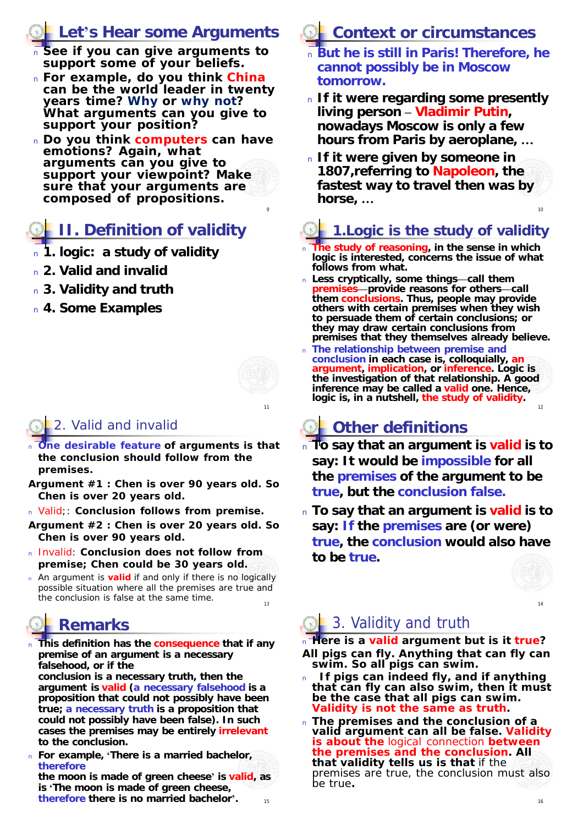### **Let's Hear some Arguments**

- <sup>n</sup> **See if you can give arguments to support some of your beliefs.**
- <sup>n</sup> **For example, do you think China can be the world leader in twenty years time? Why or why not? What arguments can you give to support your position?**
- <sup>n</sup> **Do you think computers can have emotions? Again, what arguments can you give to support your viewpoint? Make sure that your arguments are composed of propositions.**

# **II. Definition of validity**

- <sup>n</sup> **1. logic: a study of validity**
- <sup>n</sup> **2. Valid and invalid**
- <sup>n</sup> **3. Validity and truth**
- <sup>n</sup> **4. Some Examples**

11

9

### 2. Valid and invalid

- <sup>n</sup> **One desirable feature of arguments is that the conclusion should follow from the premises.**
- *Argument #1 : Chen is over 90 years old. So Chen is over 20 years old.*
- <sup>n</sup> Valid;: **Conclusion follows from premise.**

*Argument #2 : Chen is over 20 years old. So Chen is over 90 years old.* 

- <sup>n</sup> Invalid: **Conclusion does not follow from premise; Chen could be 30 years old.**
- 13 <sup>n</sup> An argument is **valid** if and only if there is no logically possible situation where all the premises are true and the conclusion is false at the same time.

# **Remarks**

<sup>n</sup> **This definition has the consequence that if any premise of an argument is a necessary falsehood, or if the conclusion is a necessary truth, then the argument is valid (a necessary falsehood is a proposition that could not possibly have been true; a necessary truth is a proposition that could not possibly have been false). In such cases the premises may be entirely irrelevant to the conclusion.** 

<sup>n</sup> **For example, 'There is a married bachelor, therefore**

15 **the moon is made of green cheese' is valid, as is 'The moon is made of green cheese, therefore there is no married bachelor'.** <sup>16</sup>

# **Context or circumstances**

- <sup>n</sup> **But he is still in Paris! Therefore, he cannot possibly be in Moscow tomorrow.**
- <sup>n</sup> **If it were regarding some presently living person – Vladimir Putin, nowadays Moscow is only a few hours from Paris by aeroplane, …**
- 10 <sup>n</sup> **If it were given by someone in 1807,referring to Napoleon, the fastest way to travel then was by horse, …**

# **1.Logic is the study of validity**

- <sup>n</sup> **The study of reasoning, in the sense in which logic is interested, concerns the issue of what follows from what.**
- <sup>n</sup> **Less cryptically, some things—call them**  *premises***—provide reasons for others—call them** *conclusions***. Thus, people may provide others with certain premises when they wish to persuade them of certain conclusions; or they may draw certain conclusions from premises that they themselves already believe.**
- 12 <sup>n</sup> **The relationship between premise and conclusion in each case is, colloquially, an argument, implication, or** *inference***. Logic is the investigation of that relationship. A good inference may be called a** *valid* **one. Hence, logic is, in a nutshell, the study of validity.**

# **Other definitions**

- <sup>n</sup> **To say that an argument is valid is to say: It would be impossible for all the premises of the argument to be true, but the conclusion false.**
- <sup>n</sup> **To say that an argument is valid is to say: If the premises are (or were) true, the conclusion would also have to be true.**



 $14$ 

# 3. Validity and truth

- <sup>n</sup> **Here is a valid argument but is it true?** *All pigs can fly. Anything that can fly can swim. So all pigs can swim.*
- <sup>n</sup> **If pigs can indeed fly, and if anything that can fly can also swim, then it must be the case that all pigs can swim. Validity is not the same as truth.**
- <sup>n</sup> **The premises and the conclusion of a valid argument can all be false. Validity is about the** logical connection **between the premises and the conclusion. All that validity tells us is that** if the premises are true, the conclusion must also be true**.**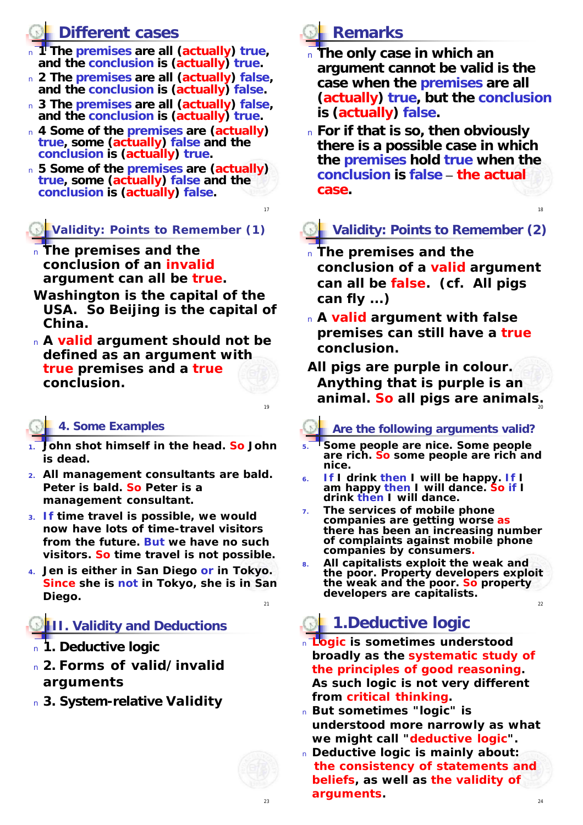### **Different cases**

- **11 The premises are all (actually) true, and the conclusion is (actually) true.**
- <sup>n</sup> **2 The premises are all (actually) false, and the conclusion is (actually) false.**
- <sup>n</sup> **3 The premises are all (actually) false, and the conclusion is (actually) true.**
- <sup>n</sup> **4 Some of the premises are (actually) true, some (actually) false and the conclusion is (actually) true.**
- <sup>n</sup> **5 Some of the premises are (actually) true, some (actually) false and the conclusion is (actually) false.**

#### **Validity: Points to Remember (1)**

- **The premises and the conclusion of an invalid argument can all be true.**
- *Washington is the capital of the USA. So Beijing is the capital of China.*
- <sup>n</sup> **A valid argument should not be defined as an argument with true premises and a true conclusion.**

#### **4. Some Examples**

- **1. John shot himself in the head. So John is dead.**
- **2. All management consultants are bald. Peter is bald. So Peter is a management consultant.**
- **3. If time travel is possible, we would now have lots of time-travel visitors from the future. But we have no such visitors. So time travel is not possible.**
- 21 **4. Jen is either in San Diego or in Tokyo. Since she is not in Tokyo, she is in San Diego.**

### **III. Validity and Deductions**

- <sup>n</sup> **1. Deductive logic**
- <sup>n</sup> **2. Forms of valid/invalid arguments**
- <sup>n</sup> **3. System-relative Validity**



17

 $\overline{16}$ 

# **Remarks**

- <sup>n</sup> **The only case in which an argument cannot be valid is the case when the premises are all (actually) true, but the conclusion is (actually) false.**
- <sup>n</sup> **For if that is so, then obviously there is a possible case in which the premises hold true when the conclusion is false – the actual case.**

### **Validity: Points to Remember (2)**

18

- <sup>n</sup> **The premises and the conclusion of a valid argument can all be false. (cf.** *All pigs can fly ...***)**
- <sup>n</sup> **A valid argument with false premises can still have a true conclusion.**
- 20 *All pigs are purple in colour. Anything that is purple is an animal. So all pigs are animals.*

#### **Are the following arguments valid?**

- **5. Some people are nice. Some people are rich. So some people are rich and nice.**
- **6. If I drink then I will be happy. If I am happy then I will dance. So if I drink then I will dance.**
- **7. The services of mobile phone companies are getting worse as there has been an increasing number of complaints against mobile phone companies by consumers.**
- **8. All capitalists exploit the weak and the poor. Property developers exploit the weak and the poor. So property developers are capitalists.**

# **1.Deductive logic**

- <sup>n</sup> **Logic is sometimes understood broadly as the systematic study of the principles of good reasoning. As such logic is not very different from critical thinking.**
- <sup>n</sup> **But sometimes "logic" is understood more narrowly as what we might call "deductive logic".**
- <sup>n</sup> **Deductive logic is mainly about: the consistency of statements and beliefs, as well as the validity of arguments.**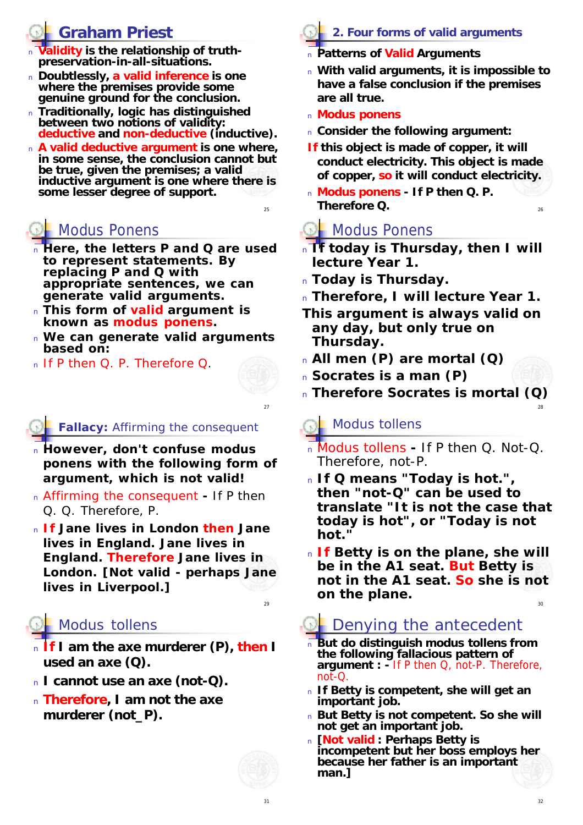## **Graham Priest**

- alidity is the relationship of truth**preservation-in-all-situations.**
- <sup>n</sup> **Doubtlessly, a valid inference is one where the premises provide some genuine ground for the conclusion.**
- <sup>n</sup> **Traditionally, logic has distinguished between two notions of validity: deductive and non-deductive (inductive).**
- <sup>n</sup> **A valid deductive argument is one where, in some sense, the conclusion cannot but be true, given the premises; a valid inductive argument is one where there is some lesser degree of support.**

# Modus Ponens

- <sup>n</sup> **Here, the letters** *P* **and** *Q* **are used to represent statements. By replacing** *P* **and** *Q* **with appropriate sentences, we can generate valid arguments.**
- <sup>n</sup> **This form of valid argument is known as** *modus ponens***.**
- <sup>n</sup> **We can generate valid arguments based on:**
- <sup>n</sup> If *P* then *Q*. *P*. Therefore *Q*.

#### **Fallacy:** Affirming the consequent

- <sup>n</sup> **However, don't confuse modus ponens with the following form of argument, which is not valid!**
- <sup>n</sup> Affirming the consequent **-** If *P* then *Q*. *Q*. Therefore, *P*.
- <sup>n</sup> **If Jane lives in London then Jane lives in England. Jane lives in England. Therefore Jane lives in London. [***Not valid - perhaps Jane lives in Liverpool***.]**

### Modus tollens

- <sup>n</sup> **If I am the axe murderer (P), then I used an axe (Q).**
- <sup>n</sup> **I cannot use an axe (not-Q).**
- <sup>n</sup> **Therefore, I am not the axe murderer (not\_P).**



31

#### **2. Four forms of valid arguments**

- <sup>n</sup> **Patterns of Valid Arguments**
- <sup>n</sup> **With valid arguments, it is impossible to have a false conclusion if the premises are all true.**
- <sup>n</sup> **Modus ponens**

25

27

 $29$ 

- <sup>n</sup> **Consider the following argument:**
- *If this object is made of copper, it will conduct electricity. This object is made of copper, so it will conduct electricity.*
- <sup>n</sup> **Modus ponens - If** *P* **then** *Q***.** *P***. Therefore** *Q***.**

### **Cole** Modus Ponens

- <sup>n</sup> *If today is Thursday, then I will lecture Year 1.*
- <sup>n</sup> *Today is Thursday.*
- <sup>n</sup> *Therefore, I will lecture Year 1.*
- **This argument is always valid on any day, but only true on Thursday.**
- <sup>n</sup> *All men (P) are mortal (Q)*
- <sup>n</sup> *Socrates is a man (P)*
- <sup>n</sup> *Therefore Socrates is mortal (Q)*

#### Modus tollens

- <sup>n</sup> Modus tollens **-** If *P* then *Q*. Not-*Q*. Therefore, not-*P.*
- <sup>n</sup> **If** *Q* **means "Today is hot.", then "not-***Q***" can be used to translate "It is not the case that today is hot", or "Today is not hot."**
- <sup>n</sup> **If Betty is on the plane, she will be in the A1 seat. But Betty is not in the A1 seat. So she is not on the plane.**

## Denying the antecedent

- <sup>n</sup> **But do distinguish** *modus tollens* **from the following fallacious pattern of argument : -** If *P* then *Q*, not-*P*. Therefore, not-*Q*.
- <sup>n</sup> **If Betty is competent, she will get an important job.**
- <sup>n</sup> **But Betty is not competent. So she will not get an important job.**
- <sup>n</sup> **[Not valid : Perhaps Betty is incompetent but her boss employs her because her father is an important man.]**

26

28